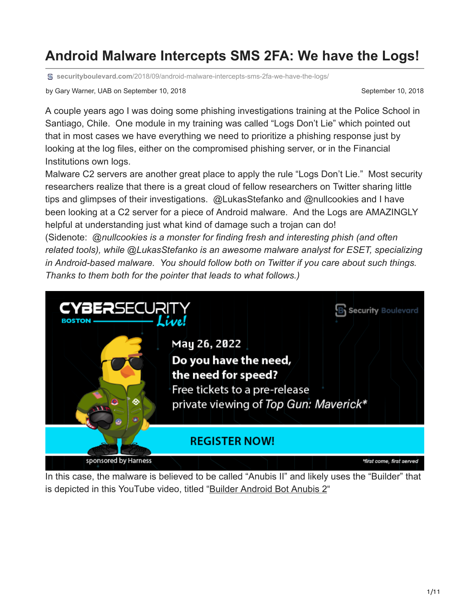## **Android Malware Intercepts SMS 2FA: We have the Logs!**

**securityboulevard.com**[/2018/09/android-malware-intercepts-sms-2fa-we-have-the-logs/](https://securityboulevard.com/2018/09/android-malware-intercepts-sms-2fa-we-have-the-logs/)

by Gary Warner, UAB on September 10, 2018 September 10, 2018

A couple years ago I was doing some phishing investigations training at the Police School in Santiago, Chile. One module in my training was called "Logs Don't Lie" which pointed out that in most cases we have everything we need to prioritize a phishing response just by looking at the log files, either on the compromised phishing server, or in the Financial Institutions own logs.

Malware C2 servers are another great place to apply the rule "Logs Don't Lie." Most security researchers realize that there is a great cloud of fellow researchers on Twitter sharing little tips and glimpses of their investigations. @LukasStefanko and @nullcookies and I have been looking at a C2 server for a piece of Android malware. And the Logs are AMAZINGLY helpful at understanding just what kind of damage such a trojan can do!

(Sidenote: *@nullcookies is a monster for finding fresh and interesting phish (and often related tools), while @LukasStefanko is an awesome malware analyst for ESET, specializing in Android-based malware. You should follow both on Twitter if you care about such things. Thanks to them both for the pointer that leads to what follows.)*



In this case, the malware is believed to be called "Anubis II" and likely uses the "Builder" that is depicted in this YouTube video, titled "[Builder Android Bot Anubis 2](https://www.youtube.com/watch?v=88pn0utCAEY)"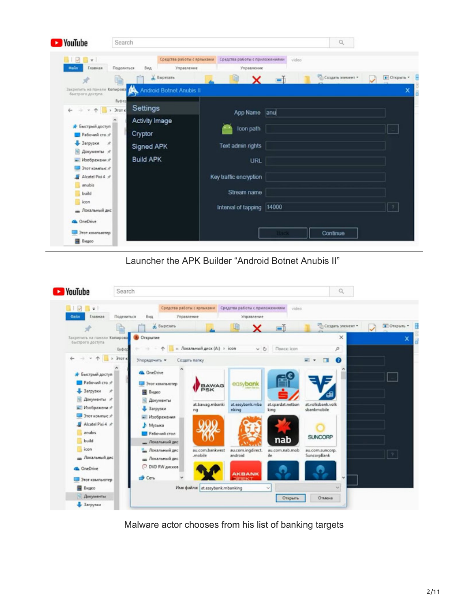| YouTube                                          | Search                                                        |                                              |       | $\alpha$         |                          |
|--------------------------------------------------|---------------------------------------------------------------|----------------------------------------------|-------|------------------|--------------------------|
| <b>BIDBV</b><br>Главная<br>Gains                 | Средства работы с ярлыками<br>Поделиться<br>Вид<br>Управление | Средства работы с приложениями<br>Управление | video |                  |                          |
|                                                  | & Вырезать                                                    | x                                            | $=$   | Создать мемент - | D OTKparts -             |
| Закрепить на панели Копирова<br>быстрого доступа | <b>Android Botnet Anubis II</b>                               |                                              |       |                  |                          |
|                                                  | Буфер<br>Settings<br>> Этот к                                 |                                              |       |                  |                          |
|                                                  | <b>Activity Image</b>                                         | App Name                                     | anu   |                  |                          |
| * Быстрый доступ                                 |                                                               | Icon path                                    |       |                  |                          |
| Рабочий сто. /                                   | Cryptor                                                       |                                              |       |                  |                          |
| - Загрузки<br>$\mathcal{A}$                      | <b>Signed APK</b>                                             | Text admin rights                            |       |                  |                          |
| 尙<br>Документы я                                 | <b>Build APK</b>                                              |                                              |       |                  |                          |
| - Изображени я<br>Этот компью :                  |                                                               | <b>URL</b>                                   |       |                  |                          |
| Alcatel Pixi 4 #                                 |                                                               | Key traffic encryption                       |       |                  |                          |
| anubis                                           |                                                               |                                              |       |                  |                          |
| build                                            |                                                               | Stream name                                  |       |                  |                          |
| icon                                             |                                                               |                                              | 14000 |                  | $\overline{\phantom{a}}$ |
| <u>-</u> Локальный дис                           |                                                               | Interval of tapping                          |       |                  |                          |
| <b>GA</b> OneDrive                               |                                                               |                                              |       |                  |                          |
| Этот компьютер                                   |                                                               |                                              | Back  | Continue         |                          |
| <b>B</b> Bugeo                                   |                                                               |                                              |       |                  |                          |

Launcher the APK Builder "Android Botnet Anubis II"



Malware actor chooses from his list of banking targets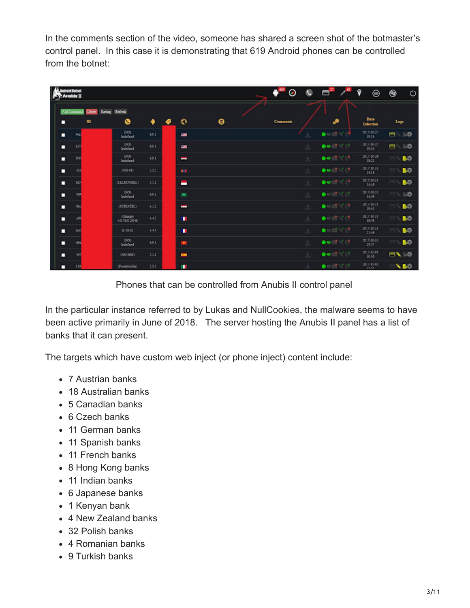In the comments section of the video, someone has shared a screen shot of the botmaster's control panel. In this case it is demonstrating that 619 Android phones can be controlled from the botnet:

| ndroid Betnet<br><b>Sy-Anubis II</b> |                          |                          |       |   |                          |                  | Θ               | o  | $\mathbf{a}^n$                                    | 9<br>⊜                | ۳    | O               |
|--------------------------------------|--------------------------|--------------------------|-------|---|--------------------------|------------------|-----------------|----|---------------------------------------------------|-----------------------|------|-----------------|
| Add Command                          | Sorting<br><b>Delete</b> | Refresh                  |       |   |                          |                  |                 |    |                                                   |                       |      |                 |
| □                                    | $\mathbf{D}$             | ◉                        | ٠     | ● | ۰                        | $\mathbf \Theta$ | <b>Comments</b> |    | P                                                 | Date<br>Infection     | Logs |                 |
| 9eal<br>о                            |                          | (300)<br>Indefined       | 6.0.1 |   | $\blacksquare$           |                  |                 | 舌  | $\bullet$ $\bullet$ $\bullet$ $\bullet$           | 2017-10-27<br>19:14   | 8    | 一時              |
| □<br>417                             |                          | (500)<br>Indefined       | 6.0.1 |   | ÷                        |                  |                 | 击  | $\bullet$ $\bullet$ $\bullet$ $\bullet$ $\bullet$ | 2017-10-27<br>19:14   | 6    | 三态              |
| 300<br>п                             |                          | (390)<br>Indefined       | 6.0.1 |   | l                        |                  |                 | 击  | $00^{18}$                                         | 2017-10-29<br>$18-52$ |      | BO.             |
| 793<br>п                             |                          | $(428-88)$               | 23.5  |   | <b>KNI</b>               |                  |                 | 击  | $00^{18}$ $^{14}$                                 | 2017-10-31<br>14:15   |      | <b>BO</b>       |
| 845<br>о                             |                          | (TELKOMSEL)              | 5.1.1 |   | н                        |                  |                 | ىق | $00^{17}$ $17^{17}$                               | 2017-10-31<br>14:40   |      | <b>BO</b>       |
| 95<br>о                              |                          | (NO)<br>Indefined        | 6.0.1 |   | 出                        |                  |                 | 占  | $\bullet$ . And $\cdot$                           | 2017-10-31<br>14:49   |      | 叫杂              |
| diko<br>О                            |                          | (STRIATEL)               | 4.1.2 |   | l                        |                  |                 | 击  | $\bullet$ , $\bullet$ , $\bullet$ , $\bullet$     | 2017-10-31<br>19:41   |      | BO <sub>1</sub> |
| п<br>c56                             |                          | (Orange)<br>+33783019548 | 442   |   | ٠                        |                  |                 | 击  |                                                   | 2017-10-31<br>19:49   |      | BO <sub>2</sub> |
| 663<br>п                             |                          | (F SFR)                  | 4.4.4 |   | ٠                        |                  |                 | 击  | $\bullet$ and of $\bullet$                        | 2017-10-31<br>21:46   |      | <b>BO</b>       |
| о                                    |                          | (200)<br>Indefined       | 6.0.1 |   | $\bullet$                |                  |                 | 医  | $\bullet$ $\bullet$ $\bullet$ $\bullet$ $\bullet$ | 2017-10-31<br>23:37   |      | <b>BO</b>       |
| О                                    |                          | (Movistar)               | 5.1.1 |   | $\overline{\phantom{a}}$ |                  |                 | 医  | $\bullet$ $\bullet$ $\bullet$ $\bullet$ $\bullet$ | 2017-11-01<br>10:50   | B\ 0 |                 |
| ⊓<br>819                             |                          | (PosteMobile).           | 2.3.6 |   | ш                        |                  |                 | ÷  | $\bullet$ , and the $\bullet$                     | 2017-11-01<br>12-53   |      | N BO            |

Phones that can be controlled from Anubis II control panel

In the particular instance referred to by Lukas and NullCookies, the malware seems to have been active primarily in June of 2018. The server hosting the Anubis II panel has a list of banks that it can present.

The targets which have custom web inject (or phone inject) content include:

- 7 Austrian banks
- 18 Australian banks
- 5 Canadian banks
- 6 Czech banks
- 11 German banks
- 11 Spanish banks
- 11 French banks
- 8 Hong Kong banks
- 11 Indian banks
- 6 Japanese banks
- 1 Kenyan bank
- 4 New Zealand banks
- 32 Polish banks
- 4 Romanian banks
- 9 Turkish banks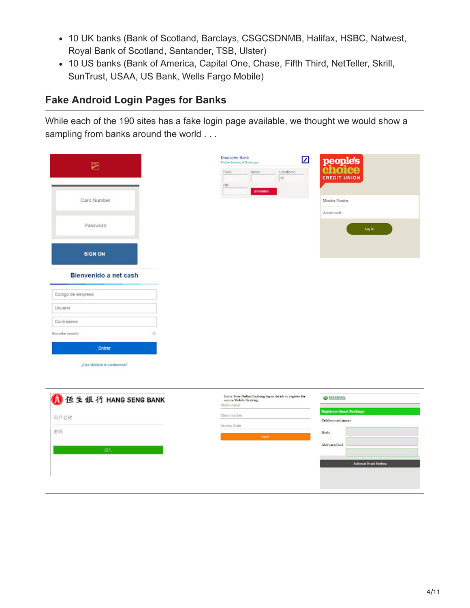- 10 UK banks (Bank of Scotland, Barclays, CSGCSDNMB, Halifax, HSBC, Natwest, Royal Bank of Scotland, Santander, TSB, Ulster)
- 10 US banks (Bank of America, Capital One, Chase, Fifth Third, NetTeller, Skrill, SunTrust, USAA, US Bank, Wells Fargo Mobile)

#### **Fake Android Login Pages for Banks**

While each of the 190 sites has a fake login page available, we thought we would show a sampling from banks around the world . . .

| 囩                            |   | Deutsche Bank<br>Mobile Banking & Brokerage |                                                          | ☑ | people's<br>choice           |  |
|------------------------------|---|---------------------------------------------|----------------------------------------------------------|---|------------------------------|--|
|                              |   | Filiale<br>PIN                              | Konto<br>Unterkonto<br>00<br>anmelden                    |   | <b>CREDIT UNION</b>          |  |
| Card Number                  |   |                                             |                                                          |   | Member Number<br>Access code |  |
| Password                     |   |                                             |                                                          |   | Log in                       |  |
| <b>SIGN ON</b>               |   |                                             |                                                          |   |                              |  |
| Bienvenido a net cash        |   |                                             |                                                          |   |                              |  |
| Codigo de empresa            |   |                                             |                                                          |   |                              |  |
| Usuario                      |   |                                             |                                                          |   |                              |  |
| Contrasena                   |   |                                             |                                                          |   |                              |  |
| Recorder usuario             | 目 |                                             |                                                          |   |                              |  |
| Entrar                       |   |                                             |                                                          |   |                              |  |
| ¿Has olvidado tu contrasena? |   |                                             |                                                          |   |                              |  |
| <b>● 恒生银行 HANG SENG BANK</b> |   | secure Mobile Banking.                      | Enter Your Online Banking log-in details to register for |   | SBERBANK                     |  |

| 1 恒生银行 HANG SENG BANK | Enter Your Online Banking log-in details to register for<br>secure Mobile Banking.<br>Profile name | <b>SBERBANK</b>                                        |  |  |  |
|-----------------------|----------------------------------------------------------------------------------------------------|--------------------------------------------------------|--|--|--|
| 用户名称                  | Client number                                                                                      | <b>Registrace Smart Bankingu</b><br>Prihlasovaci jmeno |  |  |  |
| 密码                    | Access Code<br>Login                                                                               | Heslo<br><b>CONTRACTOR</b>                             |  |  |  |
| 进入                    |                                                                                                    | Aktivacni kod                                          |  |  |  |
|                       |                                                                                                    | <b>Aktivovat Smart Banking</b>                         |  |  |  |
|                       |                                                                                                    |                                                        |  |  |  |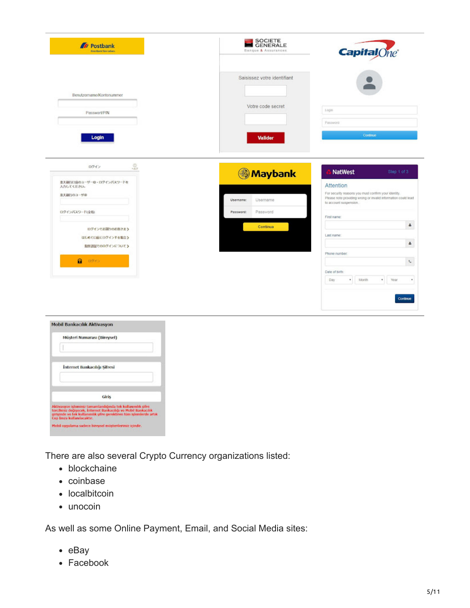

| <b>Internet Bankacılığı Sifresi</b> |
|-------------------------------------|
|                                     |
|                                     |
|                                     |
| Giris                               |

There are also several Crypto Currency organizations listed:

- blockchaine
- coinbase
- localbitcoin
- unocoin

As well as some Online Payment, Email, and Social Media sites:

- $-e$ Bay
- Facebook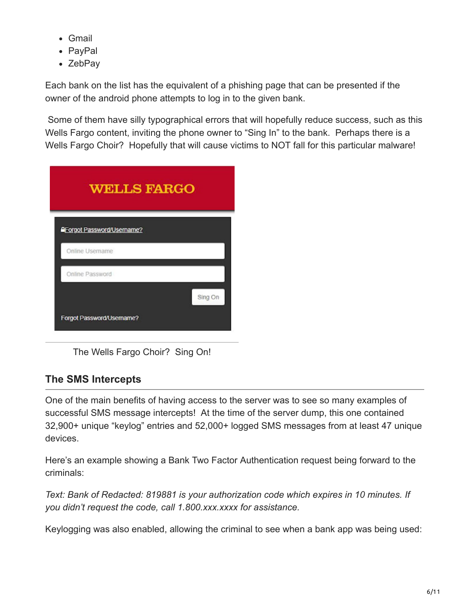- Gmail
- PayPal
- ZebPay

Each bank on the list has the equivalent of a phishing page that can be presented if the owner of the android phone attempts to log in to the given bank.

 Some of them have silly typographical errors that will hopefully reduce success, such as this Wells Fargo content, inviting the phone owner to "Sing In" to the bank. Perhaps there is a Wells Fargo Choir? Hopefully that will cause victims to NOT fall for this particular malware!

| <b>WELLS FARGO</b>                |         |
|-----------------------------------|---------|
| <b>AForgot Password/Username?</b> |         |
| Online Username                   |         |
| Online Password                   |         |
|                                   | Sing On |
| Forgot Password/Username?         |         |

The Wells Fargo Choir? Sing On!

### **The SMS Intercepts**

One of the main benefits of having access to the server was to see so many examples of successful SMS message intercepts! At the time of the server dump, this one contained 32,900+ unique "keylog" entries and 52,000+ logged SMS messages from at least 47 unique devices.

Here's an example showing a Bank Two Factor Authentication request being forward to the criminals:

*Text: Bank of Redacted: 819881 is your authorization code which expires in 10 minutes. If you didn't request the code, call 1.800.xxx.xxxx for assistance.*

Keylogging was also enabled, allowing the criminal to see when a bank app was being used: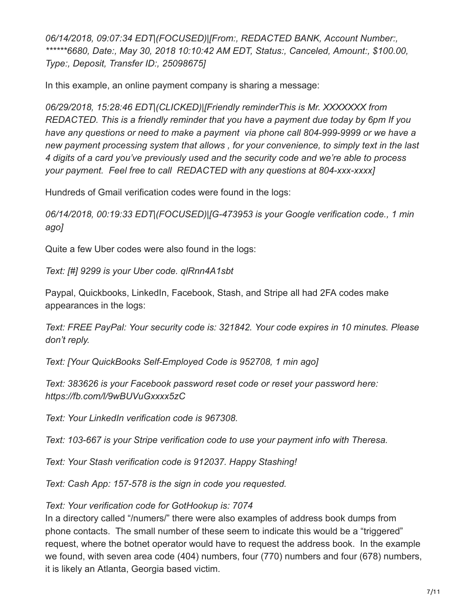*06/14/2018, 09:07:34 EDT|(FOCUSED)|[From:, REDACTED BANK, Account Number:, \*\*\*\*\*\*6680, Date:, May 30, 2018 10:10:42 AM EDT, Status:, Canceled, Amount:, \$100.00, Type:, Deposit, Transfer ID:, 25098675]*

In this example, an online payment company is sharing a message:

*06/29/2018, 15:28:46 EDT|(CLICKED)|[Friendly reminderThis is Mr. XXXXXXX from REDACTED. This is a friendly reminder that you have a payment due today by 6pm If you have any questions or need to make a payment via phone call 804-999-9999 or we have a new payment processing system that allows , for your convenience, to simply text in the last 4 digits of a card you've previously used and the security code and we're able to process your payment. Feel free to call REDACTED with any questions at 804-xxx-xxxx]*

Hundreds of Gmail verification codes were found in the logs:

*06/14/2018, 00:19:33 EDT|(FOCUSED)|[G-473953 is your Google verification code., 1 min ago]*

Quite a few Uber codes were also found in the logs:

*Text: [#] 9299 is your Uber code. qlRnn4A1sbt*

Paypal, Quickbooks, LinkedIn, Facebook, Stash, and Stripe all had 2FA codes make appearances in the logs:

*Text: FREE PayPal: Your security code is: 321842. Your code expires in 10 minutes. Please don't reply.*

*Text: [Your QuickBooks Self-Employed Code is 952708, 1 min ago]*

*Text: 383626 is your Facebook password reset code or reset your password here: https://fb.com/l/9wBUVuGxxxx5zC*

*Text: Your LinkedIn verification code is 967308.*

*Text: 103-667 is your Stripe verification code to use your payment info with Theresa.*

*Text: Your Stash verification code is 912037. Happy Stashing!*

*Text: Cash App: 157-578 is the sign in code you requested.*

*Text: Your verification code for GotHookup is: 7074*

In a directory called "/numers/" there were also examples of address book dumps from phone contacts. The small number of these seem to indicate this would be a "triggered" request, where the botnet operator would have to request the address book. In the example we found, with seven area code (404) numbers, four (770) numbers and four (678) numbers, it is likely an Atlanta, Georgia based victim.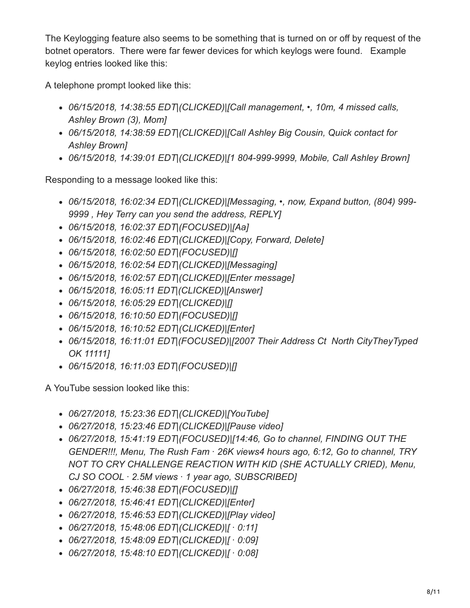The Keylogging feature also seems to be something that is turned on or off by request of the botnet operators. There were far fewer devices for which keylogs were found. Example keylog entries looked like this:

A telephone prompt looked like this:

- *06/15/2018, 14:38:55 EDT|(CLICKED)|[Call management, •, 10m, 4 missed calls, Ashley Brown (3), Mom]*
- *06/15/2018, 14:38:59 EDT|(CLICKED)|[Call Ashley Big Cousin, Quick contact for Ashley Brown]*
- *06/15/2018, 14:39:01 EDT|(CLICKED)|[1 804-999-9999, Mobile, Call Ashley Brown]*

Responding to a message looked like this:

- *06/15/2018, 16:02:34 EDT|(CLICKED)|[Messaging, •, now, Expand button, (804) 999- 9999 , Hey Terry can you send the address, REPLY]*
- *06/15/2018, 16:02:37 EDT|(FOCUSED)|[Aa]*
- *06/15/2018, 16:02:46 EDT|(CLICKED)|[Copy, Forward, Delete]*
- *06/15/2018, 16:02:50 EDT|(FOCUSED)|[]*
- *06/15/2018, 16:02:54 EDT|(CLICKED)|[Messaging]*
- *06/15/2018, 16:02:57 EDT|(CLICKED)|[Enter message]*
- *06/15/2018, 16:05:11 EDT|(CLICKED)|[Answer]*
- *06/15/2018, 16:05:29 EDT|(CLICKED)|[]*
- *06/15/2018, 16:10:50 EDT|(FOCUSED)|[]*
- *06/15/2018, 16:10:52 EDT|(CLICKED)|[Enter]*
- *06/15/2018, 16:11:01 EDT|(FOCUSED)|[2007 Their Address Ct North CityTheyTyped OK 11111]*
- *06/15/2018, 16:11:03 EDT|(FOCUSED)|[]*

A YouTube session looked like this:

- *06/27/2018, 15:23:36 EDT|(CLICKED)|[YouTube]*
- *06/27/2018, 15:23:46 EDT|(CLICKED)|[Pause video]*
- *06/27/2018, 15:41:19 EDT|(FOCUSED)|[14:46, Go to channel, FINDING OUT THE GENDER!!!, Menu, The Rush Fam · 26K views4 hours ago, 6:12, Go to channel, TRY NOT TO CRY CHALLENGE REACTION WITH KID (SHE ACTUALLY CRIED), Menu, CJ SO COOL · 2.5M views · 1 year ago, SUBSCRIBED]*
- *06/27/2018, 15:46:38 EDT|(FOCUSED)|[]*
- *06/27/2018, 15:46:41 EDT|(CLICKED)|[Enter]*
- *06/27/2018, 15:46:53 EDT|(CLICKED)|[Play video]*
- *06/27/2018, 15:48:06 EDT|(CLICKED)|[ · 0:11]*
- *06/27/2018, 15:48:09 EDT|(CLICKED)|[ · 0:09]*
- *06/27/2018, 15:48:10 EDT|(CLICKED)|[ · 0:08]*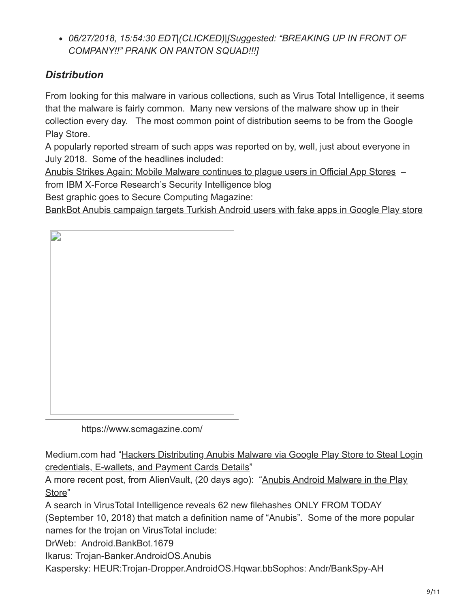*06/27/2018, 15:54:30 EDT|(CLICKED)|[Suggested: "BREAKING UP IN FRONT OF COMPANY!!" PRANK ON PANTON SQUAD!!!]*

### *Distribution*

From looking for this malware in various collections, such as Virus Total Intelligence, it seems that the malware is fairly common. Many new versions of the malware show up in their collection every day. The most common point of distribution seems to be from the Google Play Store.

A popularly reported stream of such apps was reported on by, well, just about everyone in July 2018. Some of the headlines included:

[Anubis Strikes Again: Mobile Malware continues to plague users in Official App Stores](https://securityintelligence.com/anubis-strikes-again-mobile-malware-continues-to-plague-users-in-official-app-stores/) –

from IBM X-Force Research's Security Intelligence blog

Best graphic goes to Secure Computing Magazine:

[BankBot Anubis campaign targets Turkish Android users with fake apps in Google Play store](https://www.scmagazine.com/home/news/malware/bankbot-anubis-campaign-targets-turkish-android-users-with-fake-apps-in-google-play-store/)



https://www.scmagazine.com/

[Medium.com had "Hackers Distributing Anubis Malware via Google Play Store to Steal Login](https://medium.com/@SwiftSafe/hackers-distributing-anubis-malware-via-google-play-store-to-steal-login-credentials-e-wallets-944a9da42394) credentials, E-wallets, and Payment Cards Details"

[A more recent post, from AlienVault, \(20 days ago\): "Anubis Android Malware in the Play](https://otx.alienvault.com/pulse/5b7b29177d656b718d253a66) Store"

A search in VirusTotal Intelligence reveals 62 new filehashes ONLY FROM TODAY

(September 10, 2018) that match a definition name of "Anubis". Some of the more popular names for the trojan on VirusTotal include:

DrWeb: Android.BankBot.1679

Ikarus: Trojan-Banker.AndroidOS.Anubis

Kaspersky: HEUR:Trojan-Dropper.AndroidOS.Hqwar.bbSophos: Andr/BankSpy-AH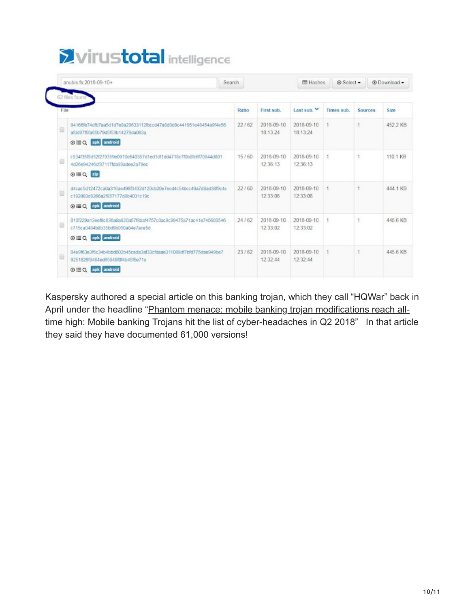# Virustotal intelligence

|      | anubis fs:2018-09-10+                                                                                                           | Search |       |                        | <b>E</b> Hashes        | <b>ØSelect ▼</b> |                | @ Download - |
|------|---------------------------------------------------------------------------------------------------------------------------------|--------|-------|------------------------|------------------------|------------------|----------------|--------------|
|      | 62 files found                                                                                                                  |        |       |                        |                        |                  |                |              |
| File |                                                                                                                                 | Ratio. |       | First sub.             | Last sub.              | Times sub.       | Sources        | Size         |
| ⊟    | 84166fe74dfb7aa5d1d7e8a29633112fbccd47a8d0d9c441951e48454a9f4e56<br>afdd97f5fa65b79d5f53b14279da083a<br>⊙ EQ apk android        | 22/62  |       | 2018-09-10<br>18:13:24 | 2018-09-10<br>18:13:24 |                  | 1              | 452.2 KB     |
|      | c934f35f9d52f279359e0910e640357d1ed1df1dd4718c7f0b8fc6f70844d801<br>4d26e94246cf37117fda89adee2a79ec<br>⊕ EQ Zip                |        | 15/60 | 2018-09-10<br>12:36:13 | 2018-09-10<br>12:36:13 | $\overline{1}$   | $\overline{1}$ | 110.1 KB     |
|      | d4cac5d12472ca0a316ae498f3432d120cb20e7ecd4c54bcc49a7d8ad38f9c4c<br>c192883d9266a2f857177d8b4031c19c<br>⊙ E Q apk android       | 22/60  |       | 2018-09-10<br>12:33:06 | 2018-09-10<br>12:33:06 | 1                |                | 444.1 KB     |
|      | 010f229a13eef8c636a9a820a57f8baf4757c0ac9c99475a71ac41e745600546<br>c715ca0484b8b35bd9b050a84e7ace5d<br>⊙ EQ apk android        |        | 24/62 | 2018-09-10<br>12:33:02 | 2018-09-10<br>12:33:02 | 1                | 1              | 445.6 KB     |
| ⊟    | 04e9f63e3f6c34b4bbd602b45cada3af33cfdaae311089df7bfd775dae949be7<br>9251826f9464ed65949f0f4b45f5e71e<br>android<br>$\omega = 0$ | 23/62  |       | 2018-09-10<br>12:32:44 | 2018-09-10<br>12:32:44 | 1                |                | 445.6 KB     |

Kaspersky authored a special article on this banking trojan, which they call "HQWar" back in [April under the headline "Phantom menace: mobile banking trojan modifications reach all](https://www.kaspersky.com/about/press-releases/2018_phantom-menace)time high: Mobile banking Trojans hit the list of cyber-headaches in Q2 2018" In that article they said they have documented 61,000 versions!